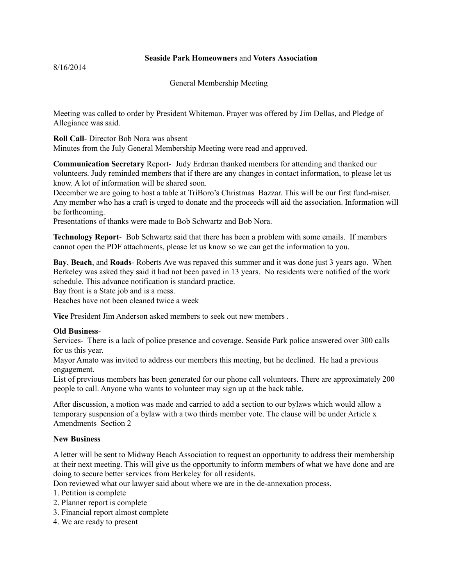## **Seaside Park Homeowners** and **Voters Association**

8/16/2014

General Membership Meeting

Meeting was called to order by President Whiteman. Prayer was offered by Jim Dellas, and Pledge of Allegiance was said.

**Roll Call**- Director Bob Nora was absent Minutes from the July General Membership Meeting were read and approved.

**Communication Secretary** Report- Judy Erdman thanked members for attending and thanked our volunteers. Judy reminded members that if there are any changes in contact information, to please let us know. A lot of information will be shared soon.

December we are going to host a table at TriBoro's Christmas Bazzar. This will be our first fund-raiser. Any member who has a craft is urged to donate and the proceeds will aid the association. Information will be forthcoming.

Presentations of thanks were made to Bob Schwartz and Bob Nora.

**Technology Report**- Bob Schwartz said that there has been a problem with some emails. If members cannot open the PDF attachments, please let us know so we can get the information to you.

**Bay**, **Beach**, and **Roads**- Roberts Ave was repaved this summer and it was done just 3 years ago. When Berkeley was asked they said it had not been paved in 13 years. No residents were notified of the work schedule. This advance notification is standard practice.

Bay front is a State job and is a mess.

Beaches have not been cleaned twice a week

**Vice** President Jim Anderson asked members to seek out new members .

## **Old Business**-

Services- There is a lack of police presence and coverage. Seaside Park police answered over 300 calls for us this year.

Mayor Amato was invited to address our members this meeting, but he declined. He had a previous engagement.

List of previous members has been generated for our phone call volunteers. There are approximately 200 people to call. Anyone who wants to volunteer may sign up at the back table.

After discussion, a motion was made and carried to add a section to our bylaws which would allow a temporary suspension of a bylaw with a two thirds member vote. The clause will be under Article x Amendments Section 2

## **New Business**

A letter will be sent to Midway Beach Association to request an opportunity to address their membership at their next meeting. This will give us the opportunity to inform members of what we have done and are doing to secure better services from Berkeley for all residents.

Don reviewed what our lawyer said about where we are in the de-annexation process.

1. Petition is complete

- 2. Planner report is complete
- 3. Financial report almost complete
- 4. We are ready to present